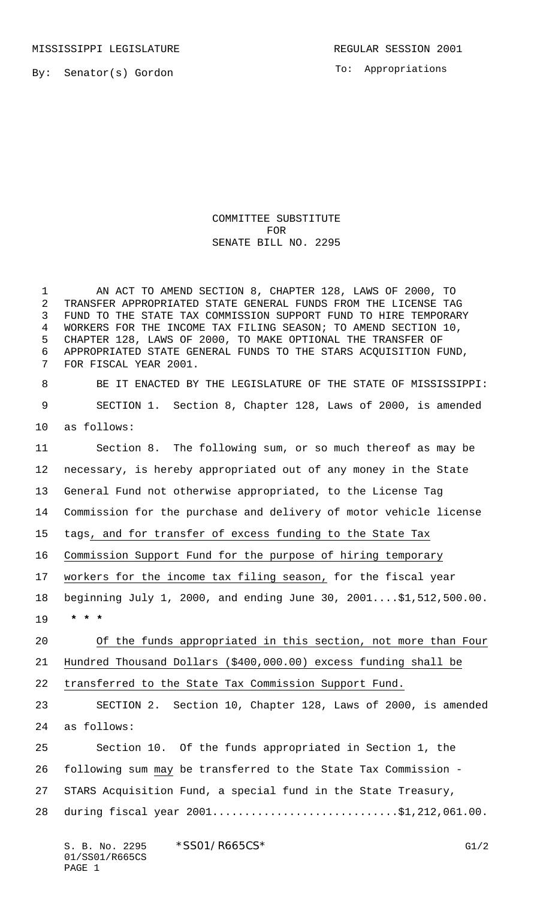MISSISSIPPI LEGISLATURE **REGULAR SESSION 2001** 

To: Appropriations

## COMMITTEE SUBSTITUTE FOR SENATE BILL NO. 2295

 AN ACT TO AMEND SECTION 8, CHAPTER 128, LAWS OF 2000, TO TRANSFER APPROPRIATED STATE GENERAL FUNDS FROM THE LICENSE TAG FUND TO THE STATE TAX COMMISSION SUPPORT FUND TO HIRE TEMPORARY WORKERS FOR THE INCOME TAX FILING SEASON; TO AMEND SECTION 10, CHAPTER 128, LAWS OF 2000, TO MAKE OPTIONAL THE TRANSFER OF APPROPRIATED STATE GENERAL FUNDS TO THE STARS ACQUISITION FUND, FOR FISCAL YEAR 2001.

 BE IT ENACTED BY THE LEGISLATURE OF THE STATE OF MISSISSIPPI: SECTION 1. Section 8, Chapter 128, Laws of 2000, is amended as follows:

 Section 8. The following sum, or so much thereof as may be necessary, is hereby appropriated out of any money in the State General Fund not otherwise appropriated, to the License Tag Commission for the purchase and delivery of motor vehicle license tags, and for transfer of excess funding to the State Tax Commission Support Fund for the purpose of hiring temporary workers for the income tax filing season, for the fiscal year beginning July 1, 2000, and ending June 30, 2001....\$1,512,500.00.  **\* \* \*** Of the funds appropriated in this section, not more than Four Hundred Thousand Dollars (\$400,000.00) excess funding shall be transferred to the State Tax Commission Support Fund. SECTION 2. Section 10, Chapter 128, Laws of 2000, is amended as follows: Section 10. Of the funds appropriated in Section 1, the following sum may be transferred to the State Tax Commission - STARS Acquisition Fund, a special fund in the State Treasury, 28 during fiscal year 2001...............................\$1,212,061.00.

S. B. No. 2295 \* SSO1/R665CS\* G1/2 01/SS01/R665CS PAGE 1